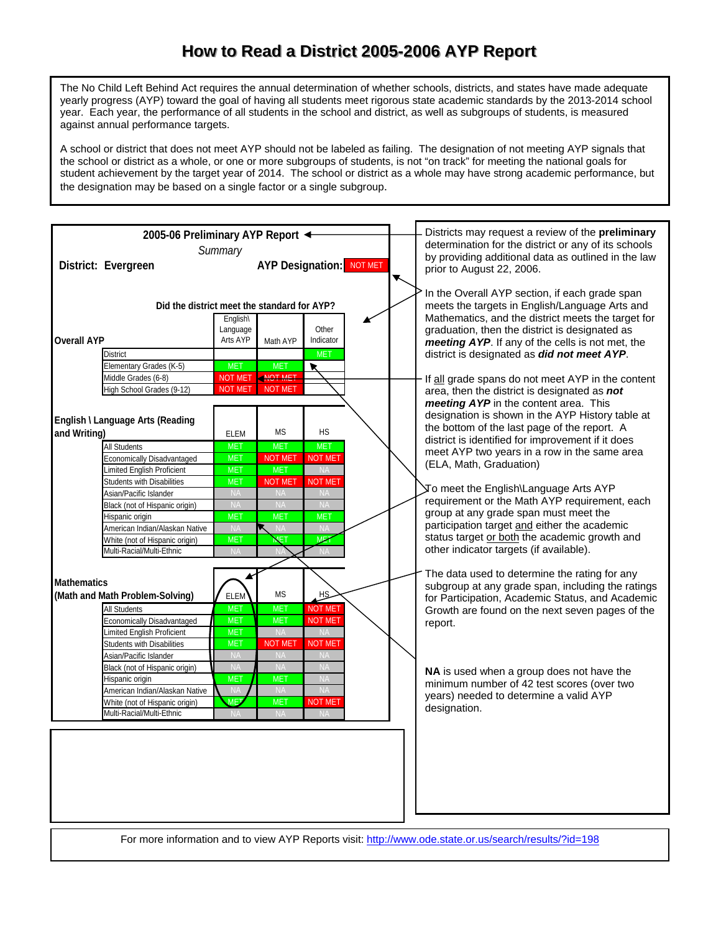## How to Read a District 2005-2006 AYP Report

The No Child Left Behind Act requires the annual determination of whether schools, districts, and states have made adequate yearly progress (AYP) toward the goal of having all students meet rigorous state academic standards by the 2013-2014 school year. Each year, the performance of all students in the school and district, as well as subgroups of students, is measured against annual performance targets.

A school or district that does not meet AYP should not be labeled as failing. The designation of not meeting AYP signals that the school or district as a whole, or one or more subgroups of students, is not "on track" for meeting the national goals for student achievement by the target year of 2014. The school or district as a whole may have strong academic performance, but the designation may be based on a single factor or a single subgroup.



For more information and to view AYP Reports visit: http://www.ode.state.or.us/search/results/?id=198